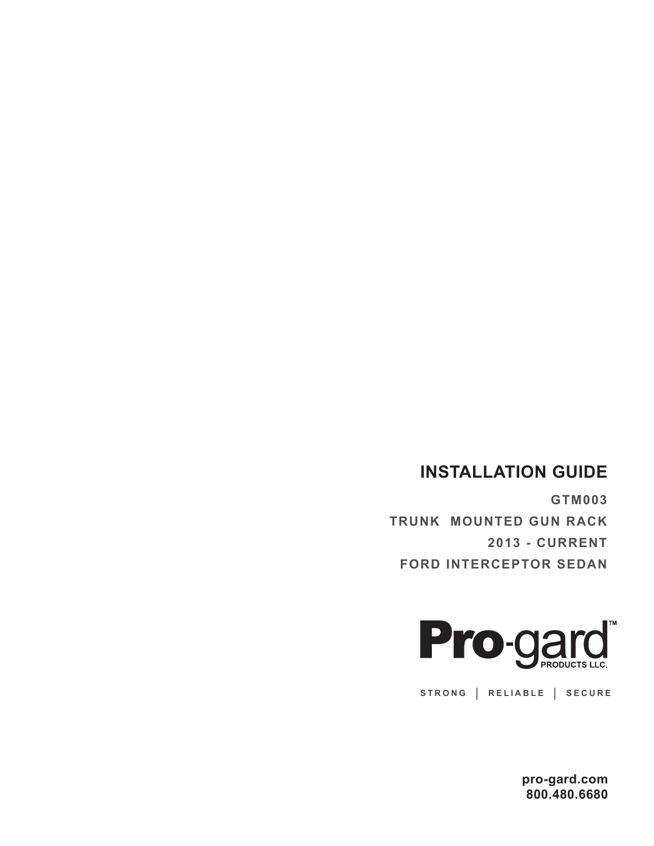## **INSTALLATION GUIDE**

**GTM003 TRUNK MOUNTED GUN RACK 2013 - CURRENT FORD INTERCEPTOR SEDAN**



**STRONG | RELIABLE | SECURE**

**pro-gard.com 800.480.6680**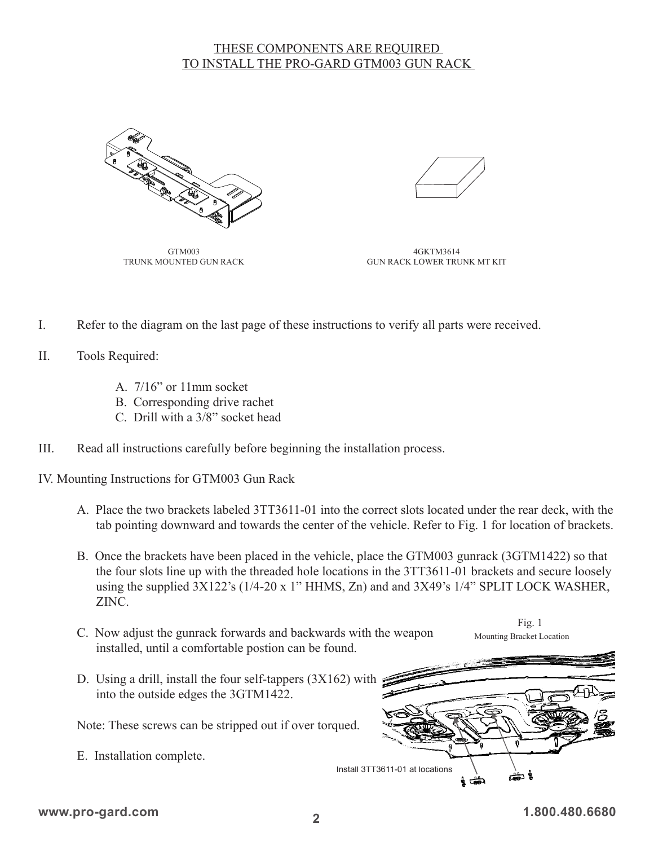## THESE COMPONENTS ARE REQUIRED TO INSTALL THE PRO-GARD GTM003 GUN RACK



GTM003 TRUNK MOUNTED GUN RACK

4GKTM3614 GUN RACK LOWER TRUNK MT KIT

- I. Refer to the diagram on the last page of these instructions to verify all parts were received.
- II. Tools Required:
	- A. 7/16" or 11mm socket
	- B. Corresponding drive rachet
	- C. Drill with a 3/8" socket head
- III. Read all instructions carefully before beginning the installation process.

IV. Mounting Instructions for GTM003 Gun Rack

- A. Place the two brackets labeled 3TT3611-01 into the correct slots located under the rear deck, with the tab pointing downward and towards the center of the vehicle. Refer to Fig. 1 for location of brackets.
- B. Once the brackets have been placed in the vehicle, place the GTM003 gunrack (3GTM1422) so that the four slots line up with the threaded hole locations in the 3TT3611-01 brackets and secure loosely using the supplied 3X122's (1/4-20 x 1" HHMS, Zn) and and 3X49's 1/4" SPLIT LOCK WASHER, ZINC.
- C. Now adjust the gunrack forwards and backwards with the weapon installed, until a comfortable postion can be found.

Fig. 1 Mounting Bracket Location

D. Using a drill, install the four self-tappers (3X162) with into the outside edges the 3GTM1422.

Note: These screws can be stripped out if over torqued.

E. Installation complete.

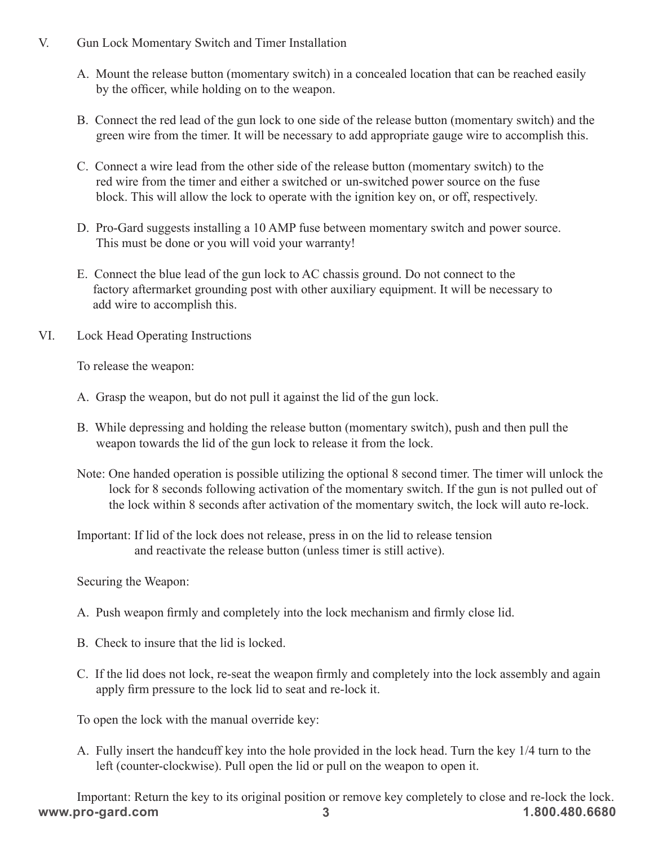- V. Gun Lock Momentary Switch and Timer Installation
	- A. Mount the release button (momentary switch) in a concealed location that can be reached easily by the officer, while holding on to the weapon.
	- B. Connect the red lead of the gun lock to one side of the release button (momentary switch) and the green wire from the timer. It will be necessary to add appropriate gauge wire to accomplish this.
	- C. Connect a wire lead from the other side of the release button (momentary switch) to the red wire from the timer and either a switched or un-switched power source on the fuse block. This will allow the lock to operate with the ignition key on, or off, respectively.
	- D. Pro-Gard suggests installing a 10 AMP fuse between momentary switch and power source. This must be done or you will void your warranty!
	- E. Connect the blue lead of the gun lock to AC chassis ground. Do not connect to the factory aftermarket grounding post with other auxiliary equipment. It will be necessary to add wire to accomplish this.
- VI. Lock Head Operating Instructions

To release the weapon:

- A. Grasp the weapon, but do not pull it against the lid of the gun lock.
- B. While depressing and holding the release button (momentary switch), push and then pull the weapon towards the lid of the gun lock to release it from the lock.
- Note: One handed operation is possible utilizing the optional 8 second timer. The timer will unlock the lock for 8 seconds following activation of the momentary switch. If the gun is not pulled out of the lock within 8 seconds after activation of the momentary switch, the lock will auto re-lock.
- Important: If lid of the lock does not release, press in on the lid to release tension and reactivate the release button (unless timer is still active).

Securing the Weapon:

- A. Push weapon firmly and completely into the lock mechanism and firmly close lid.
- B. Check to insure that the lid is locked.
- C. If the lid does not lock, re-seat the weapon firmly and completely into the lock assembly and again apply firm pressure to the lock lid to seat and re-lock it.

To open the lock with the manual override key:

A. Fully insert the handcuff key into the hole provided in the lock head. Turn the key 1/4 turn to the left (counter-clockwise). Pull open the lid or pull on the weapon to open it.

**www.pro-gard.com 1.800.480.6680** Important: Return the key to its original position or remove key completely to close and re-lock the lock. **3**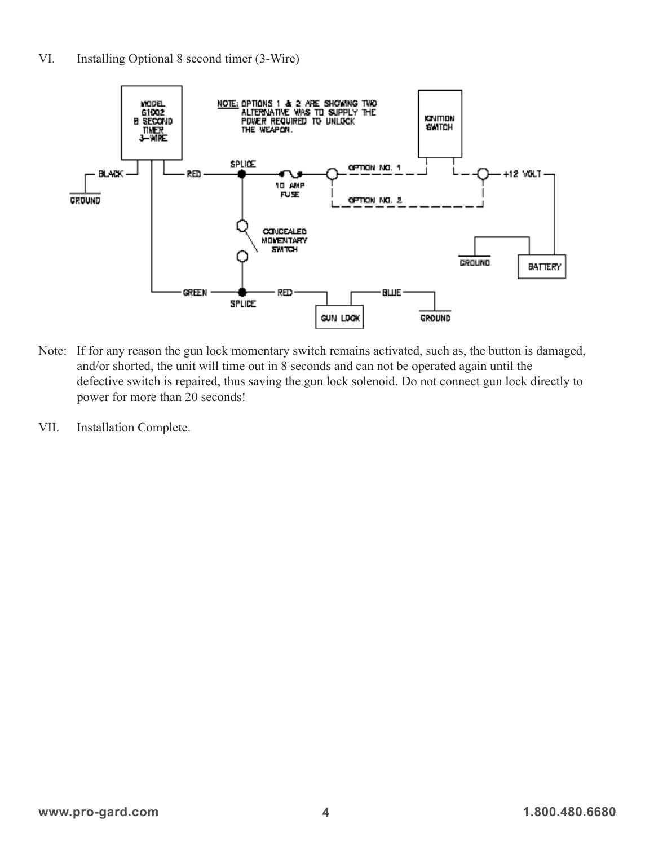

- Note: If for any reason the gun lock momentary switch remains activated, such as, the button is damaged, and/or shorted, the unit will time out in 8 seconds and can not be operated again until the defective switch is repaired, thus saving the gun lock solenoid. Do not connect gun lock directly to power for more than 20 seconds!
- VII. Installation Complete.